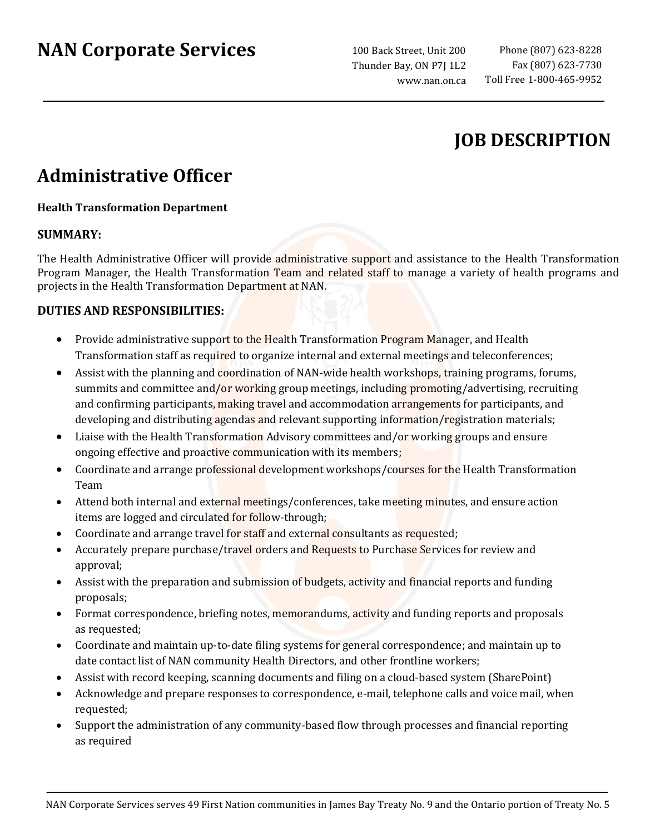# **NAN Corporate Services**

100 Back Street, Unit 200 Thunder Bay, ON P7J 1L2 www.nan.on.ca

## **JOB DESCRIPTION**

## **Administrative Officer**

### **Health Transformation Department**

### **SUMMARY:**

The Health Administrative Officer will provide administrative support and assistance to the Health Transformation Program Manager, the Health Transformation Team and related staff to manage a variety of health programs and projects in the Health Transformation Department at NAN.

### **DUTIES AND RESPONSIBILITIES:**

- Provide administrative support to the Health Transformation Program Manager, and Health Transformation staff as required to organize internal and external meetings and teleconferences;
- Assist with the planning and coordination of NAN-wide health workshops, training programs, forums, summits and committee and/or working group meetings, including promoting/advertising, recruiting and confirming participants, making travel and accommodation arrangements for participants, and developing and distributing agendas and relevant supporting information/registration materials;
- Liaise with the Health Transformation Advisory committees and/or working groups and ensure ongoing effective and proactive communication with its members;
- Coordinate and arrange professional development workshops/courses for the Health Transformation Team
- Attend both internal and external meetings/conferences, take meeting minutes, and ensure action items are logged and circulated for follow-through;
- Coordinate and arrange travel for staff and external consultants as requested;
- Accurately prepare purchase/travel orders and Requests to Purchase Services for review and approval;
- Assist with the preparation and submission of budgets, activity and financial reports and funding proposals;
- Format correspondence, briefing notes, memorandums, activity and funding reports and proposals as requested;
- Coordinate and maintain up-to-date filing systems for general correspondence; and maintain up to date contact list of NAN community Health Directors, and other frontline workers;
- Assist with record keeping, scanning documents and filing on a cloud-based system (SharePoint)
- Acknowledge and prepare responses to correspondence, e-mail, telephone calls and voice mail, when requested;
- Support the administration of any community-based flow through processes and financial reporting as required